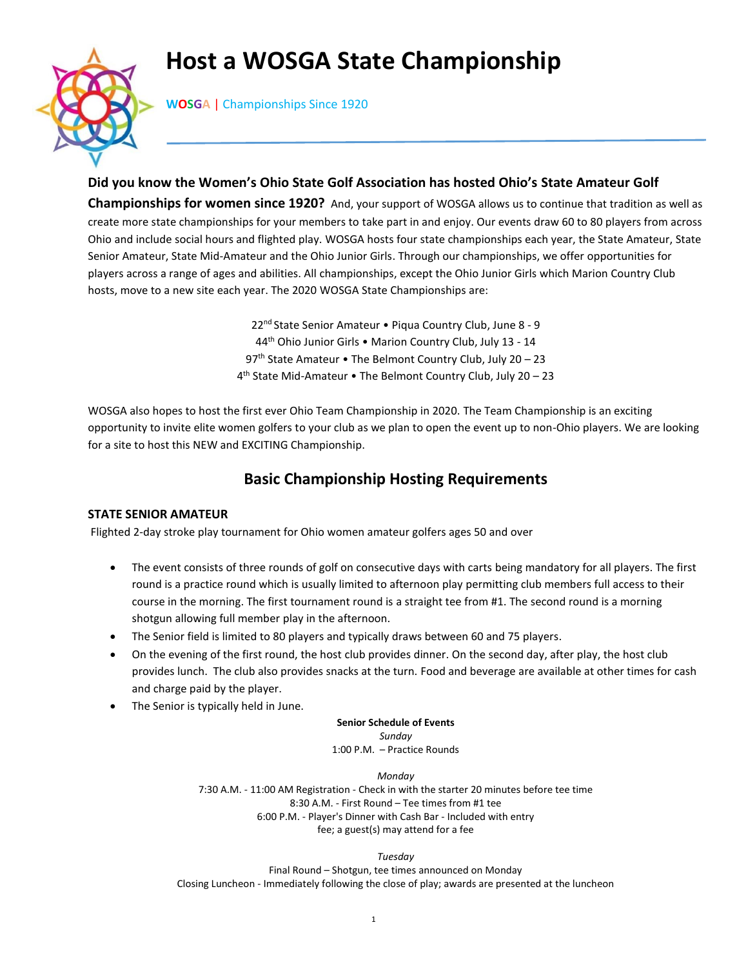# **Host a WOSGA State Championship**



**WOSGA** | Championships Since 1920

**Did you know the Women's Ohio State Golf Association has hosted Ohio's State Amateur Golf Championships for women since 1920?** And, your support of WOSGA allows us to continue that tradition as well as create more state championships for your members to take part in and enjoy. Our events draw 60 to 80 players from across Ohio and include social hours and flighted play. WOSGA hosts four state championships each year, the State Amateur, State Senior Amateur, State Mid-Amateur and the Ohio Junior Girls. Through our championships, we offer opportunities for players across a range of ages and abilities. All championships, except the Ohio Junior Girls which Marion Country Club hosts, move to a new site each year. The 2020 WOSGA State Championships are:

> 22<sup>nd</sup> State Senior Amateur • Piqua Country Club, June 8 - 9 44th Ohio Junior Girls • Marion Country Club, July 13 - 14 97<sup>th</sup> State Amateur • The Belmont Country Club, July 20 - 23 4 th State Mid-Amateur • The Belmont Country Club, July 20 – 23

WOSGA also hopes to host the first ever Ohio Team Championship in 2020. The Team Championship is an exciting opportunity to invite elite women golfers to your club as we plan to open the event up to non-Ohio players. We are looking for a site to host this NEW and EXCITING Championship.

## **Basic Championship Hosting Requirements**

### **STATE SENIOR AMATEUR**

Flighted 2-day stroke play tournament for Ohio women amateur golfers ages 50 and over

- The event consists of three rounds of golf on consecutive days with carts being mandatory for all players. The first round is a practice round which is usually limited to afternoon play permitting club members full access to their course in the morning. The first tournament round is a straight tee from #1. The second round is a morning shotgun allowing full member play in the afternoon.
- The Senior field is limited to 80 players and typically draws between 60 and 75 players.
- On the evening of the first round, the host club provides dinner. On the second day, after play, the host club provides lunch. The club also provides snacks at the turn. Food and beverage are available at other times for cash and charge paid by the player.
- The Senior is typically held in June.

**Senior Schedule of Events** *Sunday* 1:00 P.M. – Practice Rounds

*Monday* 7:30 A.M. - 11:00 AM Registration - Check in with the starter 20 minutes before tee time 8:30 A.M. - First Round – Tee times from #1 tee 6:00 P.M. - Player's Dinner with Cash Bar - Included with entry fee; a guest(s) may attend for a fee

*Tuesday*

Final Round – Shotgun, tee times announced on Monday Closing Luncheon - Immediately following the close of play; awards are presented at the luncheon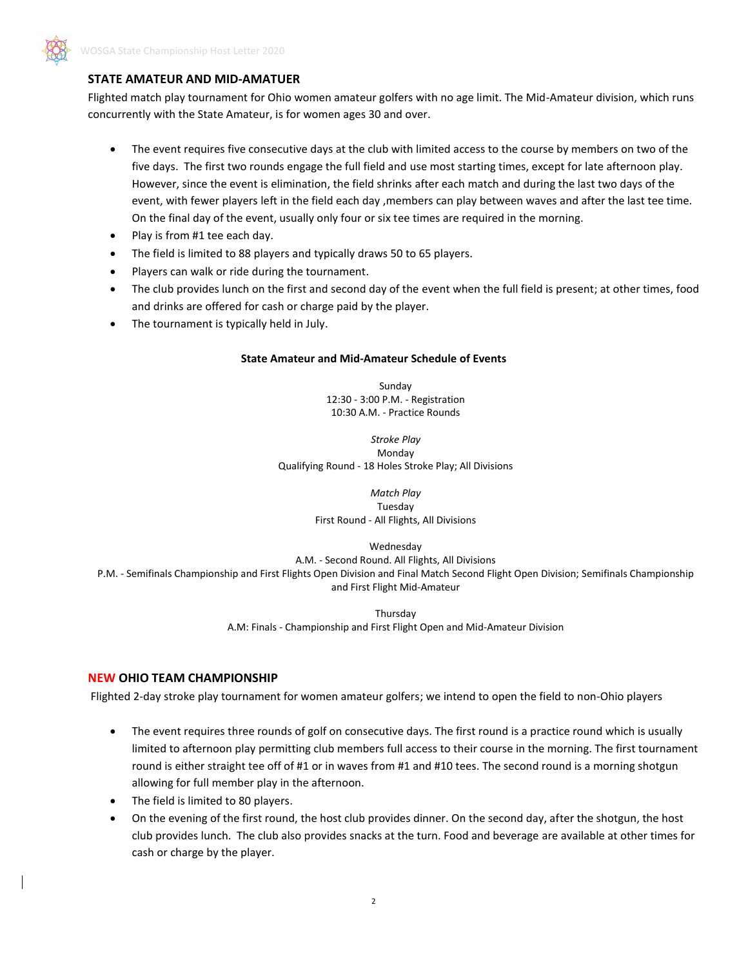

### **STATE AMATEUR AND MID-AMATUER**

Flighted match play tournament for Ohio women amateur golfers with no age limit. The Mid-Amateur division, which runs concurrently with the State Amateur, is for women ages 30 and over.

- The event requires five consecutive days at the club with limited access to the course by members on two of the five days. The first two rounds engage the full field and use most starting times, except for late afternoon play. However, since the event is elimination, the field shrinks after each match and during the last two days of the event, with fewer players left in the field each day ,members can play between waves and after the last tee time. On the final day of the event, usually only four or six tee times are required in the morning.
- Play is from #1 tee each day.
- The field is limited to 88 players and typically draws 50 to 65 players.
- Players can walk or ride during the tournament.
- The club provides lunch on the first and second day of the event when the full field is present; at other times, food and drinks are offered for cash or charge paid by the player.
- The tournament is typically held in July.

#### **State Amateur and Mid-Amateur Schedule of Events**

Sunday 12:30 - 3:00 P.M. - Registration 10:30 A.M. - Practice Rounds

*Stroke Play* Monday Qualifying Round - 18 Holes Stroke Play; All Divisions

> *Match Play* Tuesday First Round - All Flights, All Divisions

> > Wednesday

A.M. - Second Round. All Flights, All Divisions P.M. - Semifinals Championship and First Flights Open Division and Final Match Second Flight Open Division; Semifinals Championship

and First Flight Mid-Amateur

**Thursday** A.M: Finals - Championship and First Flight Open and Mid-Amateur Division

#### **NEW OHIO TEAM CHAMPIONSHIP**

Flighted 2-day stroke play tournament for women amateur golfers; we intend to open the field to non-Ohio players

- The event requires three rounds of golf on consecutive days. The first round is a practice round which is usually limited to afternoon play permitting club members full access to their course in the morning. The first tournament round is either straight tee off of #1 or in waves from #1 and #10 tees. The second round is a morning shotgun allowing for full member play in the afternoon.
- The field is limited to 80 players.
- On the evening of the first round, the host club provides dinner. On the second day, after the shotgun, the host club provides lunch. The club also provides snacks at the turn. Food and beverage are available at other times for cash or charge by the player.